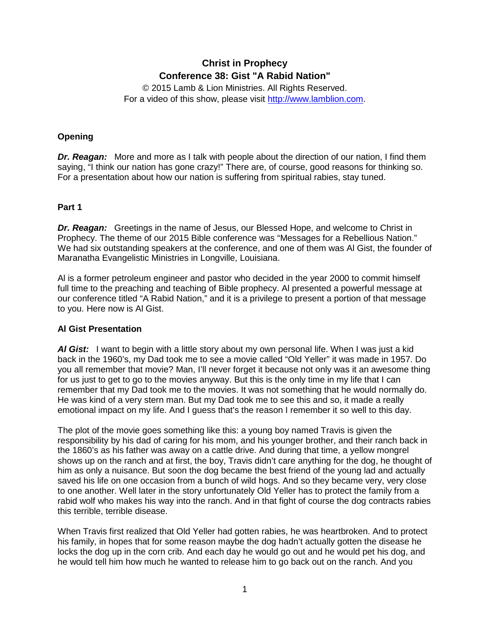# **Christ in Prophecy Conference 38: Gist "A Rabid Nation"**

© 2015 Lamb & Lion Ministries. All Rights Reserved. For a video of this show, please visit [http://www.lamblion.com.](http://www.lamblion.com/)

## **Opening**

*Dr. Reagan:* More and more as I talk with people about the direction of our nation, I find them saying, "I think our nation has gone crazy!" There are, of course, good reasons for thinking so. For a presentation about how our nation is suffering from spiritual rabies, stay tuned.

### **Part 1**

*Dr. Reagan:* Greetings in the name of Jesus, our Blessed Hope, and welcome to Christ in Prophecy. The theme of our 2015 Bible conference was "Messages for a Rebellious Nation." We had six outstanding speakers at the conference, and one of them was Al Gist, the founder of Maranatha Evangelistic Ministries in Longville, Louisiana.

Al is a former petroleum engineer and pastor who decided in the year 2000 to commit himself full time to the preaching and teaching of Bible prophecy. Al presented a powerful message at our conference titled "A Rabid Nation," and it is a privilege to present a portion of that message to you. Here now is Al Gist.

### **Al Gist Presentation**

*Al Gist:* I want to begin with a little story about my own personal life. When I was just a kid back in the 1960's, my Dad took me to see a movie called "Old Yeller" it was made in 1957. Do you all remember that movie? Man, I'll never forget it because not only was it an awesome thing for us just to get to go to the movies anyway. But this is the only time in my life that I can remember that my Dad took me to the movies. It was not something that he would normally do. He was kind of a very stern man. But my Dad took me to see this and so, it made a really emotional impact on my life. And I guess that's the reason I remember it so well to this day.

The plot of the movie goes something like this: a young boy named Travis is given the responsibility by his dad of caring for his mom, and his younger brother, and their ranch back in the 1860's as his father was away on a cattle drive. And during that time, a yellow mongrel shows up on the ranch and at first, the boy, Travis didn't care anything for the dog, he thought of him as only a nuisance. But soon the dog became the best friend of the young lad and actually saved his life on one occasion from a bunch of wild hogs. And so they became very, very close to one another. Well later in the story unfortunately Old Yeller has to protect the family from a rabid wolf who makes his way into the ranch. And in that fight of course the dog contracts rabies this terrible, terrible disease.

When Travis first realized that Old Yeller had gotten rabies, he was heartbroken. And to protect his family, in hopes that for some reason maybe the dog hadn't actually gotten the disease he locks the dog up in the corn crib. And each day he would go out and he would pet his dog, and he would tell him how much he wanted to release him to go back out on the ranch. And you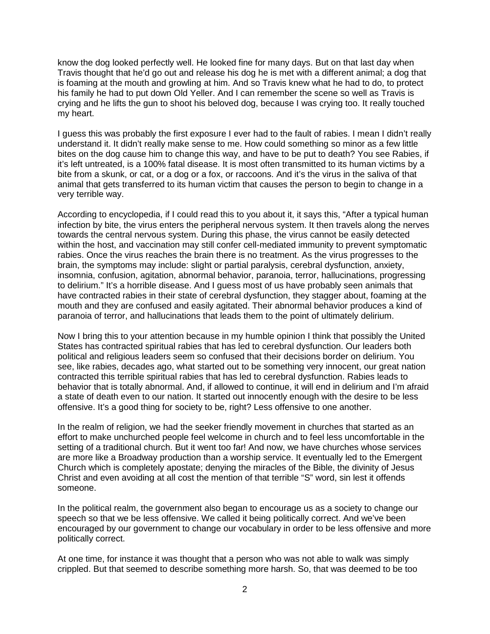know the dog looked perfectly well. He looked fine for many days. But on that last day when Travis thought that he'd go out and release his dog he is met with a different animal; a dog that is foaming at the mouth and growling at him. And so Travis knew what he had to do, to protect his family he had to put down Old Yeller. And I can remember the scene so well as Travis is crying and he lifts the gun to shoot his beloved dog, because I was crying too. It really touched my heart.

I guess this was probably the first exposure I ever had to the fault of rabies. I mean I didn't really understand it. It didn't really make sense to me. How could something so minor as a few little bites on the dog cause him to change this way, and have to be put to death? You see Rabies, if it's left untreated, is a 100% fatal disease. It is most often transmitted to its human victims by a bite from a skunk, or cat, or a dog or a fox, or raccoons. And it's the virus in the saliva of that animal that gets transferred to its human victim that causes the person to begin to change in a very terrible way.

According to encyclopedia, if I could read this to you about it, it says this, "After a typical human infection by bite, the virus enters the peripheral nervous system. It then travels along the nerves towards the central nervous system. During this phase, the virus cannot be easily detected within the host, and vaccination may still confer cell-mediated immunity to prevent symptomatic rabies. Once the virus reaches the brain there is no treatment. As the virus progresses to the brain, the symptoms may include: slight or partial paralysis, cerebral dysfunction, anxiety, insomnia, confusion, agitation, abnormal behavior, paranoia, terror, hallucinations, progressing to delirium." It's a horrible disease. And I guess most of us have probably seen animals that have contracted rabies in their state of cerebral dysfunction, they stagger about, foaming at the mouth and they are confused and easily agitated. Their abnormal behavior produces a kind of paranoia of terror, and hallucinations that leads them to the point of ultimately delirium.

Now I bring this to your attention because in my humble opinion I think that possibly the United States has contracted spiritual rabies that has led to cerebral dysfunction. Our leaders both political and religious leaders seem so confused that their decisions border on delirium. You see, like rabies, decades ago, what started out to be something very innocent, our great nation contracted this terrible spiritual rabies that has led to cerebral dysfunction. Rabies leads to behavior that is totally abnormal. And, if allowed to continue, it will end in delirium and I'm afraid a state of death even to our nation. It started out innocently enough with the desire to be less offensive. It's a good thing for society to be, right? Less offensive to one another.

In the realm of religion, we had the seeker friendly movement in churches that started as an effort to make unchurched people feel welcome in church and to feel less uncomfortable in the setting of a traditional church. But it went too far! And now, we have churches whose services are more like a Broadway production than a worship service. It eventually led to the Emergent Church which is completely apostate; denying the miracles of the Bible, the divinity of Jesus Christ and even avoiding at all cost the mention of that terrible "S" word, sin lest it offends someone.

In the political realm, the government also began to encourage us as a society to change our speech so that we be less offensive. We called it being politically correct. And we've been encouraged by our government to change our vocabulary in order to be less offensive and more politically correct.

At one time, for instance it was thought that a person who was not able to walk was simply crippled. But that seemed to describe something more harsh. So, that was deemed to be too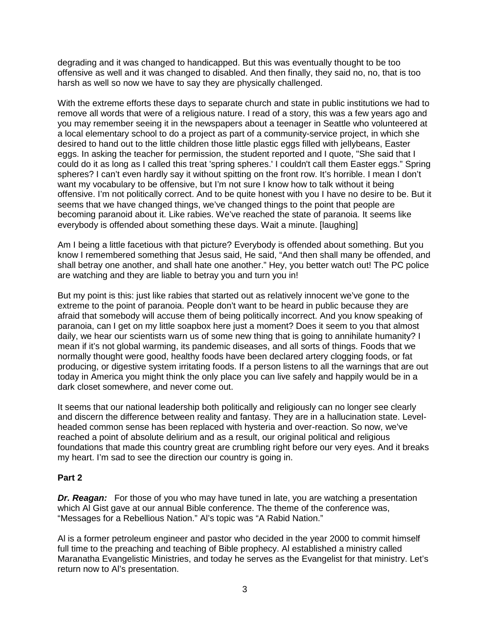degrading and it was changed to handicapped. But this was eventually thought to be too offensive as well and it was changed to disabled. And then finally, they said no, no, that is too harsh as well so now we have to say they are physically challenged.

With the extreme efforts these days to separate church and state in public institutions we had to remove all words that were of a religious nature. I read of a story, this was a few years ago and you may remember seeing it in the newspapers about a teenager in Seattle who volunteered at a local elementary school to do a project as part of a community-service project, in which she desired to hand out to the little children those little plastic eggs filled with jellybeans, Easter eggs. In asking the teacher for permission, the student reported and I quote, "She said that I could do it as long as I called this treat 'spring spheres.' I couldn't call them Easter eggs." Spring spheres? I can't even hardly say it without spitting on the front row. It's horrible. I mean I don't want my vocabulary to be offensive, but I'm not sure I know how to talk without it being offensive. I'm not politically correct. And to be quite honest with you I have no desire to be. But it seems that we have changed things, we've changed things to the point that people are becoming paranoid about it. Like rabies. We've reached the state of paranoia. It seems like everybody is offended about something these days. Wait a minute. [laughing]

Am I being a little facetious with that picture? Everybody is offended about something. But you know I remembered something that Jesus said, He said, "And then shall many be offended, and shall betray one another, and shall hate one another." Hey, you better watch out! The PC police are watching and they are liable to betray you and turn you in!

But my point is this: just like rabies that started out as relatively innocent we've gone to the extreme to the point of paranoia. People don't want to be heard in public because they are afraid that somebody will accuse them of being politically incorrect. And you know speaking of paranoia, can I get on my little soapbox here just a moment? Does it seem to you that almost daily, we hear our scientists warn us of some new thing that is going to annihilate humanity? I mean if it's not global warming, its pandemic diseases, and all sorts of things. Foods that we normally thought were good, healthy foods have been declared artery clogging foods, or fat producing, or digestive system irritating foods. If a person listens to all the warnings that are out today in America you might think the only place you can live safely and happily would be in a dark closet somewhere, and never come out.

It seems that our national leadership both politically and religiously can no longer see clearly and discern the difference between reality and fantasy. They are in a hallucination state. Levelheaded common sense has been replaced with hysteria and over-reaction. So now, we've reached a point of absolute delirium and as a result, our original political and religious foundations that made this country great are crumbling right before our very eyes. And it breaks my heart. I'm sad to see the direction our country is going in.

### **Part 2**

*Dr. Reagan:* For those of you who may have tuned in late, you are watching a presentation which Al Gist gave at our annual Bible conference. The theme of the conference was, "Messages for a Rebellious Nation." Al's topic was "A Rabid Nation."

Al is a former petroleum engineer and pastor who decided in the year 2000 to commit himself full time to the preaching and teaching of Bible prophecy. Al established a ministry called Maranatha Evangelistic Ministries, and today he serves as the Evangelist for that ministry. Let's return now to Al's presentation.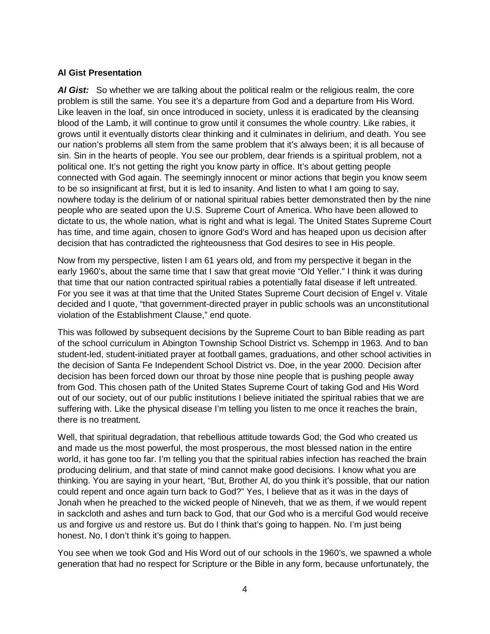### **Al Gist Presentation**

*Al Gist:* So whether we are talking about the political realm or the religious realm, the core problem is still the same. You see it's a departure from God and a departure from His Word. Like leaven in the loaf, sin once introduced in society, unless it is eradicated by the cleansing blood of the Lamb, it will continue to grow until it consumes the whole country. Like rabies, it grows until it eventually distorts clear thinking and it culminates in delirium, and death. You see our nation's problems all stem from the same problem that it's always been; it is all because of sin. Sin in the hearts of people. You see our problem, dear friends is a spiritual problem, not a political one. It's not getting the right you know party in office. It's about getting people connected with God again. The seemingly innocent or minor actions that begin you know seem to be so insignificant at first, but it is led to insanity. And listen to what I am going to say, nowhere today is the delirium of or national spiritual rabies better demonstrated then by the nine people who are seated upon the U.S. Supreme Court of America. Who have been allowed to dictate to us, the whole nation, what is right and what is legal. The United States Supreme Court has time, and time again, chosen to ignore God's Word and has heaped upon us decision after decision that has contradicted the righteousness that God desires to see in His people.

Now from my perspective, listen I am 61 years old, and from my perspective it began in the early 1960's, about the same time that I saw that great movie "Old Yeller." I think it was during that time that our nation contracted spiritual rabies a potentially fatal disease if left untreated. For you see it was at that time that the United States Supreme Court decision of Engel v. Vitale decided and I quote, "that government-directed prayer in public schools was an unconstitutional violation of the Establishment Clause," end quote.

This was followed by subsequent decisions by the Supreme Court to ban Bible reading as part of the school curriculum in Abington Township School District vs. Schempp in 1963. And to ban student-led, student-initiated prayer at football games, graduations, and other school activities in the decision of Santa Fe Independent School District vs. Doe, in the year 2000. Decision after decision has been forced down our throat by those nine people that is pushing people away from God. This chosen path of the United States Supreme Court of taking God and His Word out of our society, out of our public institutions I believe initiated the spiritual rabies that we are suffering with. Like the physical disease I'm telling you listen to me once it reaches the brain, there is no treatment.

Well, that spiritual degradation, that rebellious attitude towards God; the God who created us and made us the most powerful, the most prosperous, the most blessed nation in the entire world, it has gone too far. I'm telling you that the spiritual rabies infection has reached the brain producing delirium, and that state of mind cannot make good decisions. I know what you are thinking. You are saying in your heart, "But, Brother Al, do you think it's possible, that our nation could repent and once again turn back to God?" Yes, I believe that as it was in the days of Jonah when he preached to the wicked people of Nineveh, that we as them, if we would repent in sackcloth and ashes and turn back to God, that our God who is a merciful God would receive us and forgive us and restore us. But do I think that's going to happen. No. I'm just being honest. No, I don't think it's going to happen.

You see when we took God and His Word out of our schools in the 1960's, we spawned a whole generation that had no respect for Scripture or the Bible in any form, because unfortunately, the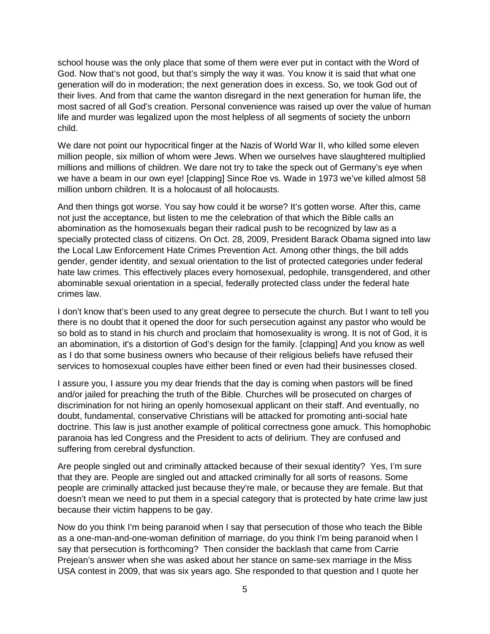school house was the only place that some of them were ever put in contact with the Word of God. Now that's not good, but that's simply the way it was. You know it is said that what one generation will do in moderation; the next generation does in excess. So, we took God out of their lives. And from that came the wanton disregard in the next generation for human life, the most sacred of all God's creation. Personal convenience was raised up over the value of human life and murder was legalized upon the most helpless of all segments of society the unborn child.

We dare not point our hypocritical finger at the Nazis of World War II, who killed some eleven million people, six million of whom were Jews. When we ourselves have slaughtered multiplied millions and millions of children. We dare not try to take the speck out of Germany's eye when we have a beam in our own eye! [clapping] Since Roe vs. Wade in 1973 we've killed almost 58 million unborn children. It is a holocaust of all holocausts.

And then things got worse. You say how could it be worse? It's gotten worse. After this, came not just the acceptance, but listen to me the celebration of that which the Bible calls an abomination as the homosexuals began their radical push to be recognized by law as a specially protected class of citizens. On Oct. 28, 2009, President Barack Obama signed into law the Local Law Enforcement Hate Crimes Prevention Act. Among other things, the bill adds gender, gender identity, and sexual orientation to the list of protected categories under federal hate law crimes. This effectively places every homosexual, pedophile, transgendered, and other abominable sexual orientation in a special, federally protected class under the federal hate crimes law.

I don't know that's been used to any great degree to persecute the church. But I want to tell you there is no doubt that it opened the door for such persecution against any pastor who would be so bold as to stand in his church and proclaim that homosexuality is wrong. It is not of God, it is an abomination, it's a distortion of God's design for the family. [clapping] And you know as well as I do that some business owners who because of their religious beliefs have refused their services to homosexual couples have either been fined or even had their businesses closed.

I assure you, I assure you my dear friends that the day is coming when pastors will be fined and/or jailed for preaching the truth of the Bible. Churches will be prosecuted on charges of discrimination for not hiring an openly homosexual applicant on their staff. And eventually, no doubt, fundamental, conservative Christians will be attacked for promoting anti-social hate doctrine. This law is just another example of political correctness gone amuck. This homophobic paranoia has led Congress and the President to acts of delirium. They are confused and suffering from cerebral dysfunction.

Are people singled out and criminally attacked because of their sexual identity? Yes, I'm sure that they are. People are singled out and attacked criminally for all sorts of reasons. Some people are criminally attacked just because they're male, or because they are female. But that doesn't mean we need to put them in a special category that is protected by hate crime law just because their victim happens to be gay.

Now do you think I'm being paranoid when I say that persecution of those who teach the Bible as a one-man-and-one-woman definition of marriage, do you think I'm being paranoid when I say that persecution is forthcoming? Then consider the backlash that came from Carrie Prejean's answer when she was asked about her stance on same-sex marriage in the Miss USA contest in 2009, that was six years ago. She responded to that question and I quote her